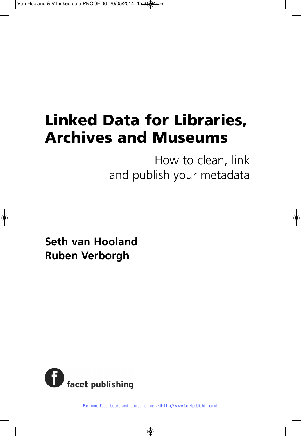## **Linked Data for Libraries, Archives and Museums**

How to clean, link and publish your metadata

**Seth van Hooland Ruben Verborgh**



For more Facet books and to order online visit: http://www.facetpublishing.co.uk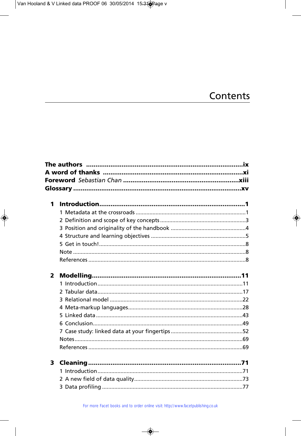## Contents

| 1            |  |
|--------------|--|
|              |  |
|              |  |
|              |  |
|              |  |
|              |  |
|              |  |
|              |  |
|              |  |
| $\mathbf{2}$ |  |
|              |  |
|              |  |
|              |  |
|              |  |
|              |  |
|              |  |
|              |  |
|              |  |
|              |  |
|              |  |
| 3            |  |
|              |  |
|              |  |
|              |  |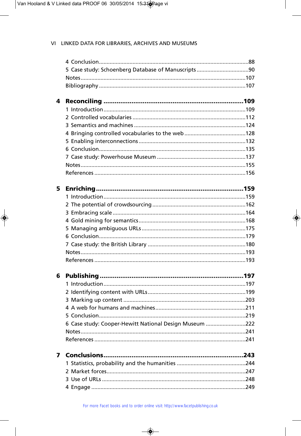| 4 |                                                        |  |
|---|--------------------------------------------------------|--|
|   |                                                        |  |
|   |                                                        |  |
|   |                                                        |  |
|   |                                                        |  |
|   |                                                        |  |
|   |                                                        |  |
|   |                                                        |  |
|   |                                                        |  |
|   |                                                        |  |
|   |                                                        |  |
| 5 |                                                        |  |
|   |                                                        |  |
|   |                                                        |  |
|   |                                                        |  |
|   |                                                        |  |
|   |                                                        |  |
|   |                                                        |  |
|   |                                                        |  |
|   |                                                        |  |
|   |                                                        |  |
| 6 |                                                        |  |
|   |                                                        |  |
|   |                                                        |  |
|   |                                                        |  |
|   |                                                        |  |
|   |                                                        |  |
|   | 6 Case study: Cooper-Hewitt National Design Museum 222 |  |
|   |                                                        |  |
|   |                                                        |  |
| 7 |                                                        |  |
|   |                                                        |  |
|   |                                                        |  |
|   |                                                        |  |
|   |                                                        |  |